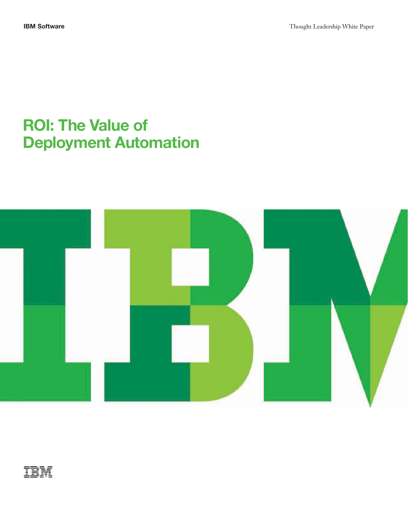# **ROI: The Value of Deployment Automation**



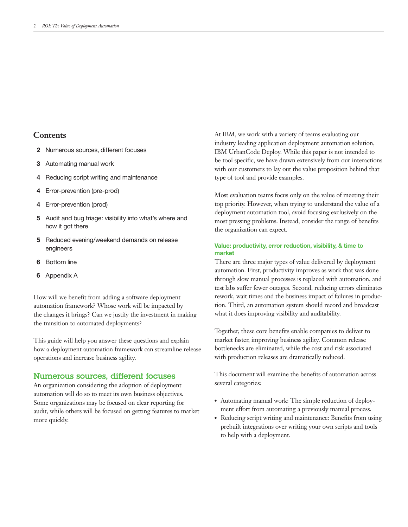# **Contents**

- **2** Numerous sources, different focuses
- **3** Automating manual work
- **4** Reducing script writing and maintenance
- **4** Error-prevention (pre-prod)
- **4** Error-prevention (prod)
- **5** Audit and bug triage: visibility into what's where and how it got there
- **5** Reduced evening/weekend demands on release engineers
- **6** Bottom line
- **6** Appendix A

How will we benefit from adding a software deployment automation framework? Whose work will be impacted by the changes it brings? Can we justify the investment in making the transition to automated deployments?

how a deployment automation framework can streamline release This guide will help you answer these questions and explain operations and increase business agility.

## Numerous sources, different focuses

An organization considering the adoption of deployment automation will do so to meet its own business objectives. Some organizations may be focused on clear reporting for audit, while others will be focused on getting features to market more quickly.

At IBM, we work with a variety of teams evaluating our industry leading application deployment automation solution, IBM UrbanCode Deploy. While this paper is not intended to be tool specific, we have drawn extensively from our interactions with our customers to lay out the value proposition behind that type of tool and provide examples.

Most evaluation teams focus only on the value of meeting their top priority. However, when trying to understand the value of a deployment automation tool, avoid focusing exclusively on the most pressing problems. Instead, consider the range of benefits the organization can expect.

#### **Value: productivity, error reduction, visibility, & time to market**

There are three major types of value delivered by deployment automation. First, productivity improves as work that was done through slow manual processes is replaced with automation, and test labs suffer fewer outages. Second, reducing errors eliminates rework, wait times and the business impact of failures in production. Third, an automation system should record and broadcast what it does improving visibility and auditability.

Together, these core benefits enable companies to deliver to market faster, improving business agility. Common release bottlenecks are eliminated, while the cost and risk associated with production releases are dramatically reduced.

This document will examine the benefits of automation across several categories:

- Automating manual work: The simple reduction of deployment effort from automating a previously manual process.
- Reducing script writing and maintenance: Benefits from using prebuilt integrations over writing your own scripts and tools to help with a deployment.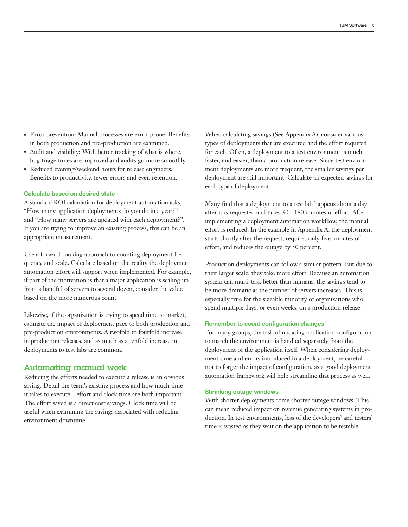- ●● Error prevention: Manual processes are error-prone. Benefits in both production and pre-production are examined.
- Audit and visibility: With better tracking of what is where, bug triage times are improved and audits go more smoothly.
- Reduced evening/weekend hours for release engineers: Benefits to productivity, fewer errors and even retention.

#### **Calculate based on desired state**

A standard ROI calculation for deployment automation asks, "How many application deployments do you do in a year?" and "How many servers are updated with each deployment?". If you are trying to improve an existing process, this can be an appropriate measurement.

Use a forward-looking approach to counting deployment frequency and scale. Calculate based on the reality the deployment automation effort will support when implemented. For example, if part of the motivation is that a major application is scaling up from a handful of servers to several dozen, consider the value based on the more numerous count.

Likewise, if the organization is trying to speed time to market, estimate the impact of deployment pace to both production and pre-production environments. A twofold to fourfold increase in production releases, and as much as a tenfold increase in deployments to test labs are common.

## Automating manual work

Reducing the efforts needed to execute a release is an obvious saving. Detail the team's existing process and how much time it takes to execute—effort and clock time are both important. The effort saved is a direct cost savings. Clock time will be useful when examining the savings associated with reducing environment downtime.

When calculating savings (See Appendix A), consider various types of deployments that are executed and the effort required for each. Often, a deployment to a test environment is much faster, and easier, than a production release. Since test environment deployments are more frequent, the smaller savings per deployment are still important. Calculate an expected savings for each type of deployment.

Many find that a deployment to a test lab happens about a day after it is requested and takes 30 - 180 minutes of effort. After implementing a deployment automation workflow, the manual effort is reduced. In the example in Appendix A, the deployment starts shortly after the request, requires only five minutes of effort, and reduces the outage by 50 percent.

Production deployments can follow a similar pattern. But due to their larger scale, they take more effort. Because an automation system can multi-task better than humans, the savings tend to be more dramatic as the number of servers increases. This is especially true for the sizeable minority of organizations who spend multiple days, or even weeks, on a production release.

#### **Remember to count configuration changes**

For many groups, the task of updating application configuration to match the environment is handled separately from the deployment of the application itself. When considering deployment time and errors introduced in a deployment, be careful not to forget the impact of configuration, as a good deployment automation framework will help streamline that process as well.

#### **Shrinking outage windows**

With shorter deployments come shorter outage windows. This can mean reduced impact on revenue generating systems in production. In test environments, less of the developers' and testers' time is wasted as they wait on the application to be testable.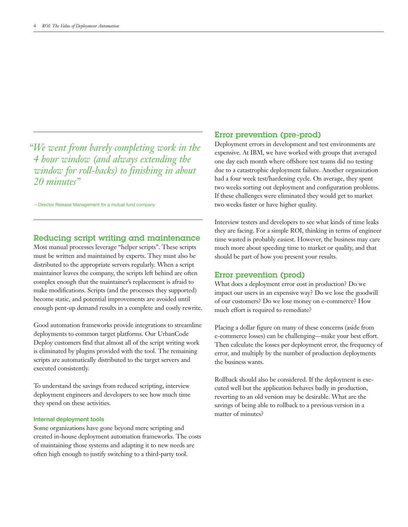*"We went from barely completing work in the 4 hour window (and always extending the window for roll- backs) to finishing in about 20 minutes"*

—Director Release Management for a mutual fund company

## Reducing script writing and maintenance

Most manual processes leverage "helper scripts". These scripts must be written and maintained by experts. They must also be distributed to the appropriate servers regularly. When a script maintainer leaves the company, the scripts left behind are often complex enough that the maintainer's replacement is afraid to make modifications. Scripts (and the processes they supported) become static, and potential improvements are avoided until enough pent-up demand results in a complete and costly rewrite.

Good automation frameworks provide integrations to streamline deployments to common target platforms. Our UrbanCode Deploy customers find that almost all of the script writing work is eliminated by plugins provided with the tool. The remaining scripts are automatically distributed to the target servers and executed consistently.

To understand the savings from reduced scripting, interview deployment engineers and developers to see how much time they spend on these activities.

#### **Internal deployment tools**

Some organizations have gone beyond mere scripting and created in-house deployment automation frameworks. The costs of maintaining those systems and adapting it to new needs are often high enough to justify switching to a third-party tool.

## Error prevention (pre-prod)

Deployment errors in development and test environments are expensive. At IBM, we have worked with groups that averaged one day each month where offshore test teams did no testing due to a catastrophic deployment failure. Another organization had a four week test/hardening cycle. On average, they spent two weeks sorting out deployment and configuration problems. If these challenges were eliminated they would get to market two weeks faster or have higher quality.

Interview testers and developers to see what kinds of time leaks they are facing. For a simple ROI, thinking in terms of engineer time wasted is probably easiest. However, the business may care much more about speeding time to market or quality, and that should be part of how you present your results.

## Error prevention (prod)

What does a deployment error cost in production? Do we impact our users in an expensive way? Do we lose the goodwill of our customers? Do we lose money on e-commerce? How much effort is required to remediate?

Placing a dollar figure on many of these concerns (aside from e-commerce losses) can be challenging—make your best effort. Then calculate the losses per deployment error, the frequency of error, and multiply by the number of production deployments the business wants.

Rollback should also be considered. If the deployment is executed well but the application behaves badly in production, reverting to an old version may be desirable. What are the savings of being able to rollback to a previous version in a matter of minutes?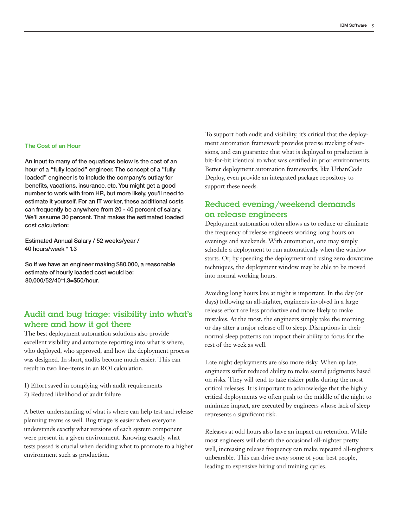#### **The Cost of an Hour**

An input to many of the equations below is the cost of an hour of a "fully loaded" engineer. The concept of a "fully loaded" engineer is to include the company's outlay for benefits, vacations, insurance, etc. You might get a good number to work with from HR, but more likely, you'll need to estimate it yourself. For an IT worker, these additional costs can frequently be anywhere from 20 - 40 percent of salary. We'll assume 30 percent. That makes the estimated loaded cost calculation:

Estimated Annual Salary / 52 weeks/year / 40 hours/week \* 1.3

So if we have an engineer making \$80,000, a reasonable estimate of hourly loaded cost would be: 80,000/52/40\*1.3=\$50/hour.

# Audit and bug triage: visibility into what's where and how it got there

The best deployment automation solutions also provide excellent visibility and automate reporting into what is where, who deployed, who approved, and how the deployment process was designed. In short, audits become much easier. This can result in two line-items in an ROI calculation.

1) Effort saved in complying with audit requirements 2) Reduced likelihood of audit failure

A better understanding of what is where can help test and release planning teams as well. Bug triage is easier when everyone understands exactly what versions of each system component were present in a given environment. Knowing exactly what tests passed is crucial when deciding what to promote to a higher environment such as production.

To support both audit and visibility, it's critical that the deployment automation framework provides precise tracking of versions, and can guarantee that what is deployed to production is bit-for-bit identical to what was certified in prior environments. Better deployment automation frameworks, like UrbanCode Deploy, even provide an integrated package repository to support these needs.

# Reduced evening/weekend demands on release engineers

Deployment automation often allows us to reduce or eliminate the frequency of release engineers working long hours on evenings and weekends. With automation, one may simply schedule a deployment to run automatically when the window starts. Or, by speeding the deployment and using zero downtime techniques, the deployment window may be able to be moved into normal working hours.

Avoiding long hours late at night is important. In the day (or days) following an all-nighter, engineers involved in a large release effort are less productive and more likely to make mistakes. At the most, the engineers simply take the morning or day after a major release off to sleep. Disruptions in their normal sleep patterns can impact their ability to focus for the rest of the week as well.

Late night deployments are also more risky. When up late, engineers suffer reduced ability to make sound judgments based on risks. They will tend to take riskier paths during the most critical releases. It is important to acknowledge that the highly critical deployments we often push to the middle of the night to minimize impact, are executed by engineers whose lack of sleep represents a significant risk.

Releases at odd hours also have an impact on retention. While most engineers will absorb the occasional all-nighter pretty well, increasing release frequency can make repeated all-nighters unbearable. This can drive away some of your best people, leading to expensive hiring and training cycles.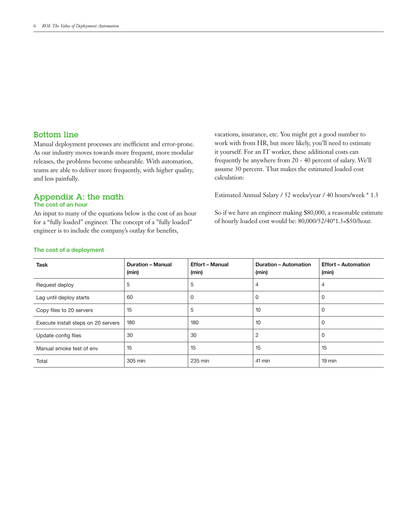## Bottom line

Manual deployment processes are inefficient and error-prone. As our industry moves towards more frequent, more modular releases, the problems become unbearable. With automation, teams are able to deliver more frequently, with higher quality, and less painfully.

# Appendix A: the math

## **The cost of an hour**

An input to many of the equations below is the cost of an hour for a "fully loaded" engineer. The concept of a "fully loaded" engineer is to include the company's outlay for benefits,

vacations, insurance, etc. You might get a good number to work with from HR, but more likely, you'll need to estimate it yourself. For an IT worker, these additional costs can frequently be anywhere from 20 - 40 percent of salary. We'll assume 30 percent. That makes the estimated loaded cost calculation:

Estimated Annual Salary / 52 weeks/year / 40 hours/week \* 1.3

So if we have an engineer making \$80,000, a reasonable estimate of hourly loaded cost would be: 80,000/52/40\*1.3=\$50/hour.

| <b>Task</b>                         | <b>Duration - Manual</b><br>(min) | <b>Effort - Manual</b><br>(min) | <b>Duration - Automation</b><br>(min) | <b>Effort - Automation</b><br>(min) |
|-------------------------------------|-----------------------------------|---------------------------------|---------------------------------------|-------------------------------------|
| Request deploy                      | 5                                 | 5                               | 4                                     | $\overline{4}$                      |
| Lag until deploy starts             | 60                                | 0                               | 0                                     | 0                                   |
| Copy files to 20 servers            | 15                                | 5                               | 10                                    | 0                                   |
| Execute install steps on 20 servers | 180                               | 180                             | 10                                    | 0                                   |
| Update config files                 | 30                                | 30                              | 2                                     | 0                                   |
| Manual smoke test of env            | 15                                | 15                              | 15                                    | 15                                  |
| Total                               | 305 min                           | 235 min                         | 41 min                                | $19$ min                            |

#### **The cost of a deployment**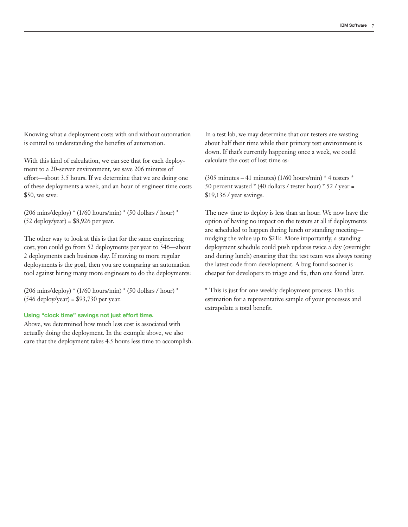Knowing what a deployment costs with and without automation is central to understanding the benefits of automation.

With this kind of calculation, we can see that for each deployment to a 20-server environment, we save 206 minutes of effort—about 3.5 hours. If we determine that we are doing one of these deployments a week, and an hour of engineer time costs \$50, we save:

(206 mins/deploy) \* (1/60 hours/min) \* (50 dollars / hour) \*  $(52 \text{ deploy/year}) = $8,926 \text{ per year}.$ 

The other way to look at this is that for the same engineering cost, you could go from 52 deployments per year to 546—about 2 deployments each business day. If moving to more regular deployments is the goal, then you are comparing an automation tool against hiring many more engineers to do the deployments:

(206 mins/deploy)  $*(1/60 \text{ hours/min}) * (50 \text{ dollars}/\text{hour}) *$ (546 deploy/year) = \$93,730 per year.

#### **Using "clock time" savings not just effort time.**

Above, we determined how much less cost is associated with actually doing the deployment. In the example above, we also care that the deployment takes 4.5 hours less time to accomplish. In a test lab, we may determine that our testers are wasting about half their time while their primary test environment is down. If that's currently happening once a week, we could calculate the cost of lost time as:

 $(305 \text{ minutes} - 41 \text{ minutes})$   $(1/60 \text{ hours/min}) * 4 \text{ testers} *$ 50 percent wasted  $*(40$  dollars / tester hour)  $*$  52 / year = \$19,136 / year savings.

The new time to deploy is less than an hour. We now have the option of having no impact on the testers at all if deployments are scheduled to happen during lunch or standing meeting nudging the value up to \$21k. More importantly, a standing deployment schedule could push updates twice a day (overnight and during lunch) ensuring that the test team was always testing the latest code from development. A bug found sooner is cheaper for developers to triage and fix, than one found later.

\* This is just for one weekly deployment process. Do this estimation for a representative sample of your processes and extrapolate a total benefit.